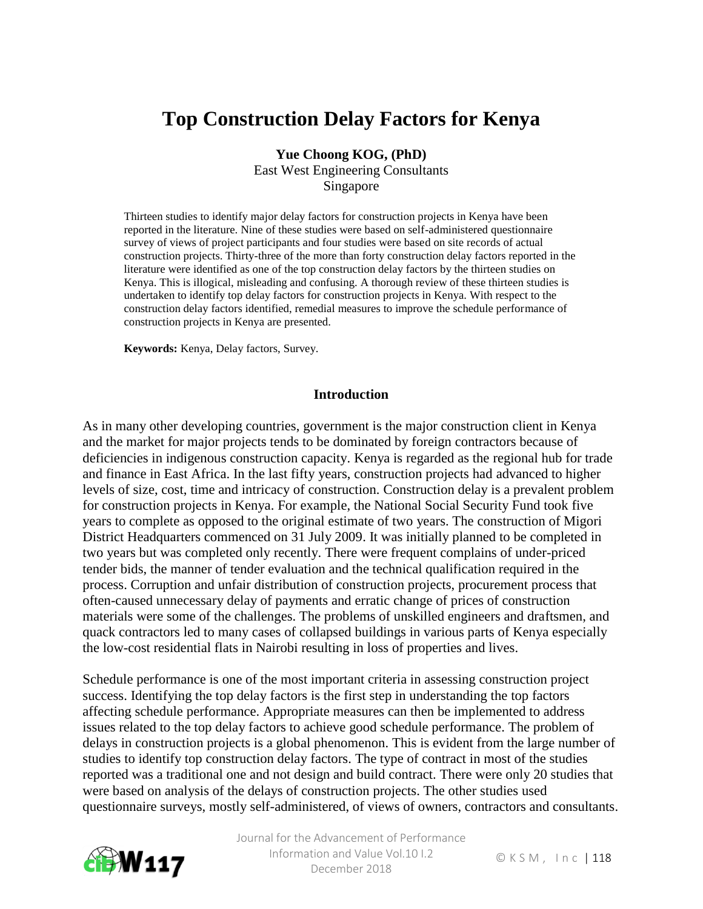# **Top Construction Delay Factors for Kenya**

**Yue Choong KOG, (PhD)** East West Engineering Consultants Singapore

Thirteen studies to identify major delay factors for construction projects in Kenya have been reported in the literature. Nine of these studies were based on self-administered questionnaire survey of views of project participants and four studies were based on site records of actual construction projects. Thirty-three of the more than forty construction delay factors reported in the literature were identified as one of the top construction delay factors by the thirteen studies on Kenya. This is illogical, misleading and confusing. A thorough review of these thirteen studies is undertaken to identify top delay factors for construction projects in Kenya. With respect to the construction delay factors identified, remedial measures to improve the schedule performance of construction projects in Kenya are presented.

**Keywords:** Kenya, Delay factors, Survey.

#### **Introduction**

As in many other developing countries, government is the major construction client in Kenya and the market for major projects tends to be dominated by foreign contractors because of deficiencies in indigenous construction capacity. Kenya is regarded as the regional hub for trade and finance in East Africa. In the last fifty years, construction projects had advanced to higher levels of size, cost, time and intricacy of construction. Construction delay is a prevalent problem for construction projects in Kenya. For example, the National Social Security Fund took five years to complete as opposed to the original estimate of two years. The construction of Migori District Headquarters commenced on 31 July 2009. It was initially planned to be completed in two years but was completed only recently. There were frequent complains of under-priced tender bids, the manner of tender evaluation and the technical qualification required in the process. Corruption and unfair distribution of construction projects, procurement process that often-caused unnecessary delay of payments and erratic change of prices of construction materials were some of the challenges. The problems of unskilled engineers and draftsmen, and quack contractors led to many cases of collapsed buildings in various parts of Kenya especially the low-cost residential flats in Nairobi resulting in loss of properties and lives.

Schedule performance is one of the most important criteria in assessing construction project success. Identifying the top delay factors is the first step in understanding the top factors affecting schedule performance. Appropriate measures can then be implemented to address issues related to the top delay factors to achieve good schedule performance. The problem of delays in construction projects is a global phenomenon. This is evident from the large number of studies to identify top construction delay factors. The type of contract in most of the studies reported was a traditional one and not design and build contract. There were only 20 studies that were based on analysis of the delays of construction projects. The other studies used questionnaire surveys, mostly self-administered, of views of owners, contractors and consultants.

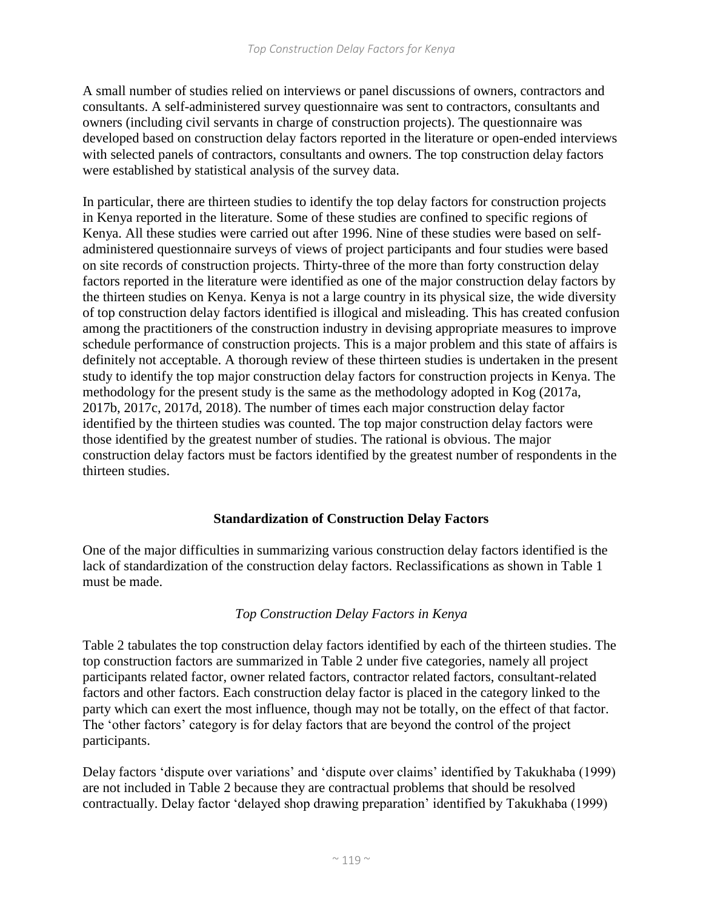A small number of studies relied on interviews or panel discussions of owners, contractors and consultants. A self-administered survey questionnaire was sent to contractors, consultants and owners (including civil servants in charge of construction projects). The questionnaire was developed based on construction delay factors reported in the literature or open-ended interviews with selected panels of contractors, consultants and owners. The top construction delay factors were established by statistical analysis of the survey data.

In particular, there are thirteen studies to identify the top delay factors for construction projects in Kenya reported in the literature. Some of these studies are confined to specific regions of Kenya. All these studies were carried out after 1996. Nine of these studies were based on selfadministered questionnaire surveys of views of project participants and four studies were based on site records of construction projects. Thirty-three of the more than forty construction delay factors reported in the literature were identified as one of the major construction delay factors by the thirteen studies on Kenya. Kenya is not a large country in its physical size, the wide diversity of top construction delay factors identified is illogical and misleading. This has created confusion among the practitioners of the construction industry in devising appropriate measures to improve schedule performance of construction projects. This is a major problem and this state of affairs is definitely not acceptable. A thorough review of these thirteen studies is undertaken in the present study to identify the top major construction delay factors for construction projects in Kenya. The methodology for the present study is the same as the methodology adopted in Kog (2017a, 2017b, 2017c, 2017d, 2018). The number of times each major construction delay factor identified by the thirteen studies was counted. The top major construction delay factors were those identified by the greatest number of studies. The rational is obvious. The major construction delay factors must be factors identified by the greatest number of respondents in the thirteen studies.

## **Standardization of Construction Delay Factors**

One of the major difficulties in summarizing various construction delay factors identified is the lack of standardization of the construction delay factors. Reclassifications as shown in Table 1 must be made.

## *Top Construction Delay Factors in Kenya*

Table 2 tabulates the top construction delay factors identified by each of the thirteen studies. The top construction factors are summarized in Table 2 under five categories, namely all project participants related factor, owner related factors, contractor related factors, consultant-related factors and other factors. Each construction delay factor is placed in the category linked to the party which can exert the most influence, though may not be totally, on the effect of that factor. The 'other factors' category is for delay factors that are beyond the control of the project participants.

Delay factors 'dispute over variations' and 'dispute over claims' identified by Takukhaba (1999) are not included in Table 2 because they are contractual problems that should be resolved contractually. Delay factor 'delayed shop drawing preparation' identified by Takukhaba (1999)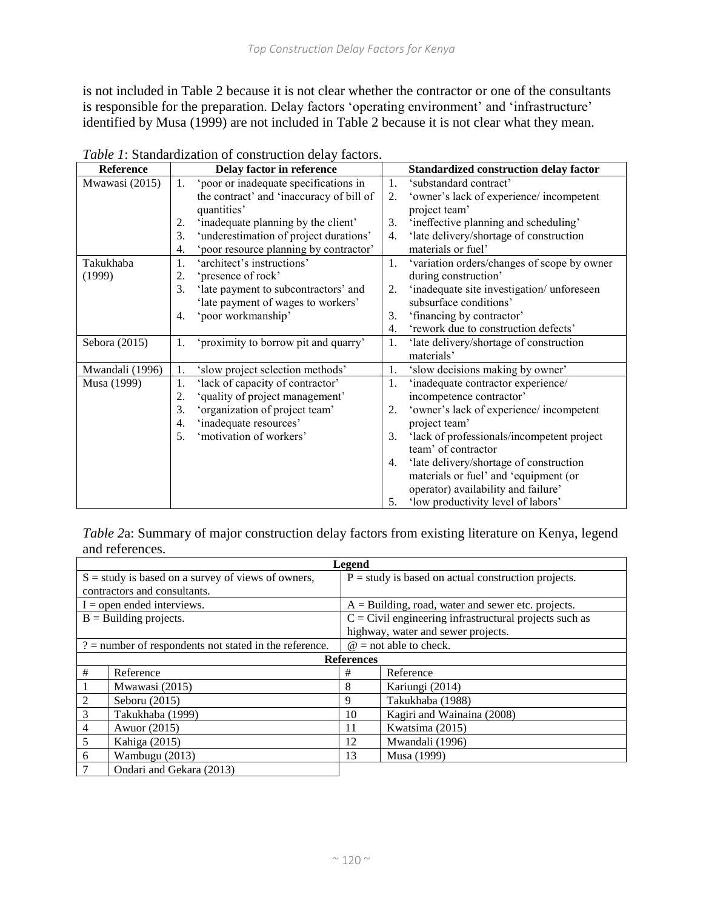is not included in Table 2 because it is not clear whether the contractor or one of the consultants is responsible for the preparation. Delay factors 'operating environment' and 'infrastructure' identified by Musa (1999) are not included in Table 2 because it is not clear what they mean.

| Reference       |    | Delay factor in reference                | Standardized construction delay factor |                                             |  |  |
|-----------------|----|------------------------------------------|----------------------------------------|---------------------------------------------|--|--|
| Mwawasi (2015)  | 1. | 'poor or inadequate specifications in    | 1.                                     | 'substandard contract'                      |  |  |
|                 |    | the contract' and 'inaccuracy of bill of | 2.                                     | 'owner's lack of experience/ incompetent    |  |  |
|                 |    | quantities'                              | project team'                          |                                             |  |  |
|                 | 2. | 'inadequate planning by the client'      | 3.                                     | 'ineffective planning and scheduling'       |  |  |
|                 | 3. | 'underestimation of project durations'   | 4.                                     | 'late delivery/shortage of construction     |  |  |
|                 | 4. | 'poor resource planning by contractor'   |                                        | materials or fuel'                          |  |  |
| Takukhaba       | 1. | 'architect's instructions'               | 1.                                     | 'variation orders/changes of scope by owner |  |  |
| (1999)          | 2. | 'presence of rock'                       |                                        | during construction'                        |  |  |
|                 | 3. | 'late payment to subcontractors' and     | 2.                                     | 'inadequate site investigation/ unforeseen  |  |  |
|                 |    | 'late payment of wages to workers'       |                                        | subsurface conditions'                      |  |  |
|                 | 4. | 'poor workmanship'                       | 3.                                     | 'financing by contractor'                   |  |  |
|                 |    |                                          | 4.                                     | 'rework due to construction defects'        |  |  |
| Sebora (2015)   | 1. | 'proximity to borrow pit and quarry'     | 1.                                     | 'late delivery/shortage of construction     |  |  |
|                 |    |                                          |                                        | materials'                                  |  |  |
| Mwandali (1996) | 1. | 'slow project selection methods'         | 1.                                     | 'slow decisions making by owner'            |  |  |
| Musa (1999)     | 1. | 'lack of capacity of contractor'         | 1.                                     | 'inadequate contractor experience/          |  |  |
|                 | 2. | 'quality of project management'          |                                        | incompetence contractor'                    |  |  |
|                 | 3. | 'organization of project team'           | 2.                                     | 'owner's lack of experience/ incompetent    |  |  |
|                 | 4. | 'inadequate resources'                   |                                        | project team'                               |  |  |
|                 | 5. | 'motivation of workers'                  | 3.                                     | 'lack of professionals/incompetent project  |  |  |
|                 |    |                                          |                                        | team' of contractor                         |  |  |
|                 |    |                                          | 4.                                     | 'late delivery/shortage of construction     |  |  |
|                 |    |                                          |                                        | materials or fuel' and 'equipment (or       |  |  |
|                 |    |                                          |                                        | operator) availability and failure'         |  |  |
|                 |    |                                          | 5.                                     | 'low productivity level of labors'          |  |  |

*Table 1*: Standardization of construction delay factors.

*Table 2*a: Summary of major construction delay factors from existing literature on Kenya, legend and references.

| <b>Legend</b>                                            |                |                                                          |                                                       |  |  |  |  |  |
|----------------------------------------------------------|----------------|----------------------------------------------------------|-------------------------------------------------------|--|--|--|--|--|
| $S =$ study is based on a survey of views of owners,     |                |                                                          | $P =$ study is based on actual construction projects. |  |  |  |  |  |
| contractors and consultants.                             |                |                                                          |                                                       |  |  |  |  |  |
| $I =$ open ended interviews.                             |                |                                                          | $A =$ Building, road, water and sewer etc. projects.  |  |  |  |  |  |
| $B =$ Building projects.                                 |                | $C =$ Civil engineering infrastructural projects such as |                                                       |  |  |  |  |  |
|                                                          |                |                                                          | highway, water and sewer projects.                    |  |  |  |  |  |
| $?$ = number of respondents not stated in the reference. |                |                                                          | $\omega$ = not able to check.                         |  |  |  |  |  |
|                                                          |                | <b>References</b>                                        |                                                       |  |  |  |  |  |
| #                                                        | Reference      | Reference                                                |                                                       |  |  |  |  |  |
|                                                          | Mwawasi (2015) |                                                          | Kariungi (2014)                                       |  |  |  |  |  |
| $\mathfrak{D}$                                           | Seboru (2015)  |                                                          | Takukhaba (1988)                                      |  |  |  |  |  |
| 3<br>Takukhaba (1999)                                    |                | 10                                                       | Kagiri and Wainaina (2008)                            |  |  |  |  |  |
| $\overline{4}$<br>Awuor (2015)                           |                | 11                                                       | Kwatsima (2015)                                       |  |  |  |  |  |
| 5<br>Kahiga (2015)                                       |                | 12                                                       | Mwandali (1996)                                       |  |  |  |  |  |
| Wambugu (2013)<br>6                                      |                |                                                          | Musa (1999)                                           |  |  |  |  |  |
| $\overline{7}$<br>Ondari and Gekara (2013)               |                |                                                          |                                                       |  |  |  |  |  |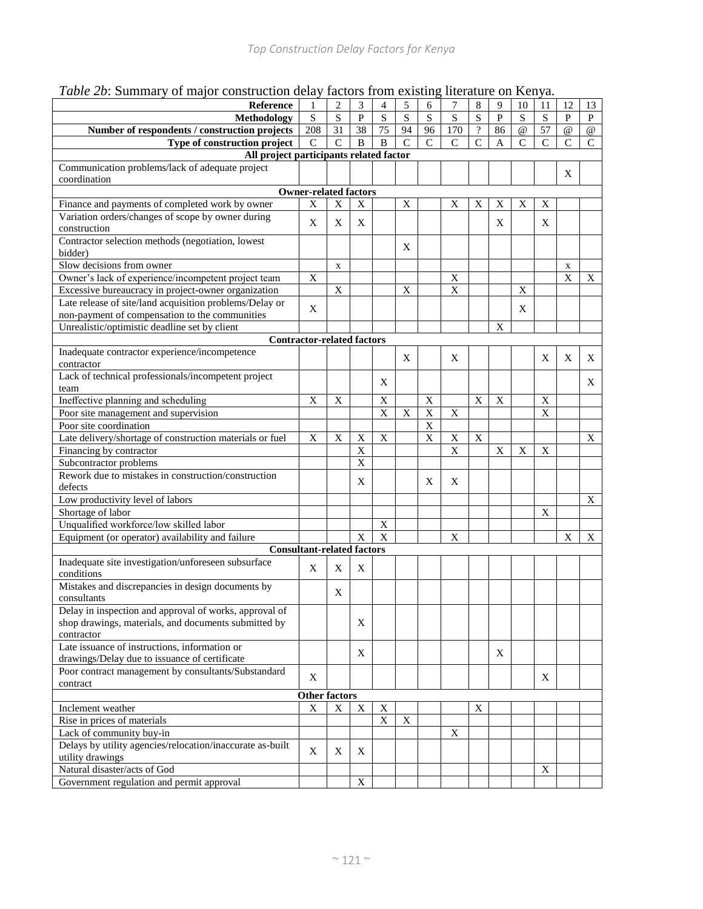|  | Table 2b: Summary of major construction delay factors from existing literature on Kenya. |  |
|--|------------------------------------------------------------------------------------------|--|
|  |                                                                                          |  |

| Reference                                                 | 1                            | $\overline{2}$ | 3                       | $\overline{4}$ | 5              | 6              | 7           | 8              | 9            | 10             | 11             | 12          | 13          |
|-----------------------------------------------------------|------------------------------|----------------|-------------------------|----------------|----------------|----------------|-------------|----------------|--------------|----------------|----------------|-------------|-------------|
| Methodology                                               | S                            | S              | $\mathbf{P}$            | S              | S              | S              | $\mathbf S$ | ${\bf S}$      | $\mathbf{P}$ | S              | S              | P           | P           |
| Number of respondents / construction projects             | 208                          | 31             | 38                      | 75             | 94             | 96             | 170         | $\overline{?}$ | 86           | $\omega$       | 57             | $\omega$    | $\omega$    |
| Type of construction project                              | $\mathbf C$                  | $\overline{C}$ | B                       | $\, {\bf B}$   | $\overline{C}$ | $\mathcal{C}$  | $\mathbf C$ | $\overline{C}$ | A            | $\overline{C}$ | $\overline{C}$ | $\mathbf C$ | $\mathbf C$ |
| All project participants related factor                   |                              |                |                         |                |                |                |             |                |              |                |                |             |             |
| Communication problems/lack of adequate project           |                              |                |                         |                |                |                |             |                |              |                |                | X           |             |
| coordination                                              |                              |                |                         |                |                |                |             |                |              |                |                |             |             |
|                                                           | <b>Owner-related factors</b> |                |                         |                |                |                |             |                |              |                |                |             |             |
| Finance and payments of completed work by owner           | X                            | $\mathbf X$    | X                       |                | X              |                | X           | X              | Χ            | X              | X              |             |             |
| Variation orders/changes of scope by owner during         | X                            | X              | X                       |                |                |                |             |                | X            |                | X              |             |             |
| construction                                              |                              |                |                         |                |                |                |             |                |              |                |                |             |             |
| Contractor selection methods (negotiation, lowest         |                              |                |                         |                | X              |                |             |                |              |                |                |             |             |
| bidder)                                                   |                              |                |                         |                |                |                |             |                |              |                |                |             |             |
| Slow decisions from owner                                 |                              | $\mathbf X$    |                         |                |                |                |             |                |              |                |                | X           |             |
| Owner's lack of experience/incompetent project team       | X                            |                |                         |                |                |                | X           |                |              |                |                | X           | X           |
| Excessive bureaucracy in project-owner organization       |                              | X              |                         |                | X              |                | X           |                |              | X              |                |             |             |
| Late release of site/land acquisition problems/Delay or   | X                            |                |                         |                |                |                |             |                |              | X              |                |             |             |
| non-payment of compensation to the communities            |                              |                |                         |                |                |                |             |                |              |                |                |             |             |
| Unrealistic/optimistic deadline set by client             |                              |                |                         |                |                |                |             |                | X            |                |                |             |             |
| <b>Contractor-related factors</b>                         |                              |                |                         |                |                |                |             |                |              |                |                |             |             |
| Inadequate contractor experience/incompetence             |                              |                |                         |                | X              |                | X           |                |              |                | X              | X           | X           |
| contractor                                                |                              |                |                         |                |                |                |             |                |              |                |                |             |             |
| Lack of technical professionals/incompetent project       |                              |                |                         | Χ              |                |                |             |                |              |                |                |             | X           |
| team                                                      |                              |                |                         |                |                |                |             |                |              |                |                |             |             |
| Ineffective planning and scheduling                       | X                            | $\mathbf X$    |                         | $\mathbf X$    |                | $\mathbf X$    |             | $\mathbf X$    | $\mathbf X$  |                | $\mathbf X$    |             |             |
| Poor site management and supervision                      |                              |                |                         | $\overline{X}$ | X              | $\overline{X}$ | $\mathbf X$ |                |              |                | $\overline{X}$ |             |             |
| Poor site coordination                                    |                              |                |                         |                |                | $\mathbf X$    |             |                |              |                |                |             |             |
| Late delivery/shortage of construction materials or fuel  | X                            | X              | X                       | X              |                | X              | $\mathbf X$ | $\mathbf X$    |              |                |                |             | X           |
| Financing by contractor                                   |                              |                | X                       |                |                |                | X           |                | $\mathbf X$  | $\mathbf X$    | X              |             |             |
| Subcontractor problems                                    |                              |                | X                       |                |                |                |             |                |              |                |                |             |             |
| Rework due to mistakes in construction/construction       |                              |                | X                       |                |                | X              | X           |                |              |                |                |             |             |
| defects                                                   |                              |                |                         |                |                |                |             |                |              |                |                |             |             |
| Low productivity level of labors                          |                              |                |                         |                |                |                |             |                |              |                |                |             | X           |
| Shortage of labor                                         |                              |                |                         |                |                |                |             |                |              |                | X              |             |             |
| Unqualified workforce/low skilled labor                   |                              |                |                         | X              |                |                |             |                |              |                |                |             |             |
| Equipment (or operator) availability and failure          |                              |                | X                       | $\overline{X}$ |                |                | X           |                |              |                |                | X           | X           |
| <b>Consultant-related factors</b>                         |                              |                |                         |                |                |                |             |                |              |                |                |             |             |
| Inadequate site investigation/unforeseen subsurface       | X                            | X              | X                       |                |                |                |             |                |              |                |                |             |             |
| conditions                                                |                              |                |                         |                |                |                |             |                |              |                |                |             |             |
| Mistakes and discrepancies in design documents by         |                              | X              |                         |                |                |                |             |                |              |                |                |             |             |
| consultants                                               |                              |                |                         |                |                |                |             |                |              |                |                |             |             |
| Delay in inspection and approval of works, approval of    |                              |                |                         |                |                |                |             |                |              |                |                |             |             |
| shop drawings, materials, and documents submitted by      |                              |                | X                       |                |                |                |             |                |              |                |                |             |             |
| contractor                                                |                              |                |                         |                |                |                |             |                |              |                |                |             |             |
| Late issuance of instructions, information or             |                              |                | X                       |                |                |                |             |                | X            |                |                |             |             |
| drawings/Delay due to issuance of certificate             |                              |                |                         |                |                |                |             |                |              |                |                |             |             |
| Poor contract management by consultants/Substandard       | X                            |                |                         |                |                |                |             |                |              |                | X              |             |             |
| contract                                                  |                              |                |                         |                |                |                |             |                |              |                |                |             |             |
|                                                           | <b>Other factors</b>         |                |                         |                |                |                |             |                |              |                |                |             |             |
| Inclement weather                                         | X                            | X              | X                       | X              |                |                |             | X              |              |                |                |             |             |
| Rise in prices of materials                               |                              |                |                         | $\mathbf X$    | $\mathbf X$    |                |             |                |              |                |                |             |             |
| Lack of community buy-in                                  |                              |                |                         |                |                |                | X           |                |              |                |                |             |             |
| Delays by utility agencies/relocation/inaccurate as-built | X                            | X              | X                       |                |                |                |             |                |              |                |                |             |             |
| utility drawings                                          |                              |                |                         |                |                |                |             |                |              |                |                |             |             |
| Natural disaster/acts of God                              |                              |                |                         |                |                |                |             |                |              |                | X              |             |             |
| Government regulation and permit approval                 |                              |                | $\overline{\textbf{X}}$ |                |                |                |             |                |              |                |                |             |             |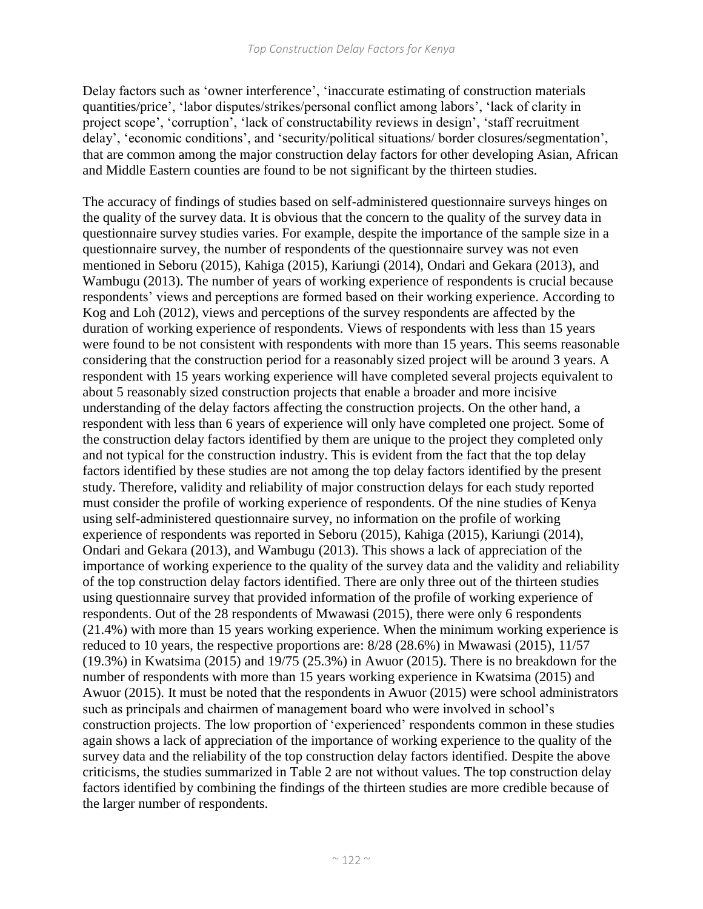Delay factors such as 'owner interference', 'inaccurate estimating of construction materials quantities/price', 'labor disputes/strikes/personal conflict among labors', 'lack of clarity in project scope', 'corruption', 'lack of constructability reviews in design', 'staff recruitment delay', 'economic conditions', and 'security/political situations/ border closures/segmentation', that are common among the major construction delay factors for other developing Asian, African and Middle Eastern counties are found to be not significant by the thirteen studies.

The accuracy of findings of studies based on self-administered questionnaire surveys hinges on the quality of the survey data. It is obvious that the concern to the quality of the survey data in questionnaire survey studies varies. For example, despite the importance of the sample size in a questionnaire survey, the number of respondents of the questionnaire survey was not even mentioned in Seboru (2015), Kahiga (2015), Kariungi (2014), Ondari and Gekara (2013), and Wambugu (2013). The number of years of working experience of respondents is crucial because respondents' views and perceptions are formed based on their working experience. According to Kog and Loh (2012), views and perceptions of the survey respondents are affected by the duration of working experience of respondents. Views of respondents with less than 15 years were found to be not consistent with respondents with more than 15 years. This seems reasonable considering that the construction period for a reasonably sized project will be around 3 years. A respondent with 15 years working experience will have completed several projects equivalent to about 5 reasonably sized construction projects that enable a broader and more incisive understanding of the delay factors affecting the construction projects. On the other hand, a respondent with less than 6 years of experience will only have completed one project. Some of the construction delay factors identified by them are unique to the project they completed only and not typical for the construction industry. This is evident from the fact that the top delay factors identified by these studies are not among the top delay factors identified by the present study. Therefore, validity and reliability of major construction delays for each study reported must consider the profile of working experience of respondents. Of the nine studies of Kenya using self-administered questionnaire survey, no information on the profile of working experience of respondents was reported in Seboru (2015), Kahiga (2015), Kariungi (2014), Ondari and Gekara (2013), and Wambugu (2013). This shows a lack of appreciation of the importance of working experience to the quality of the survey data and the validity and reliability of the top construction delay factors identified. There are only three out of the thirteen studies using questionnaire survey that provided information of the profile of working experience of respondents. Out of the 28 respondents of Mwawasi (2015), there were only 6 respondents (21.4%) with more than 15 years working experience. When the minimum working experience is reduced to 10 years, the respective proportions are: 8/28 (28.6%) in Mwawasi (2015), 11/57 (19.3%) in Kwatsima (2015) and 19/75 (25.3%) in Awuor (2015). There is no breakdown for the number of respondents with more than 15 years working experience in Kwatsima (2015) and Awuor (2015). It must be noted that the respondents in Awuor (2015) were school administrators such as principals and chairmen of management board who were involved in school's construction projects. The low proportion of 'experienced' respondents common in these studies again shows a lack of appreciation of the importance of working experience to the quality of the survey data and the reliability of the top construction delay factors identified. Despite the above criticisms, the studies summarized in Table 2 are not without values. The top construction delay factors identified by combining the findings of the thirteen studies are more credible because of the larger number of respondents.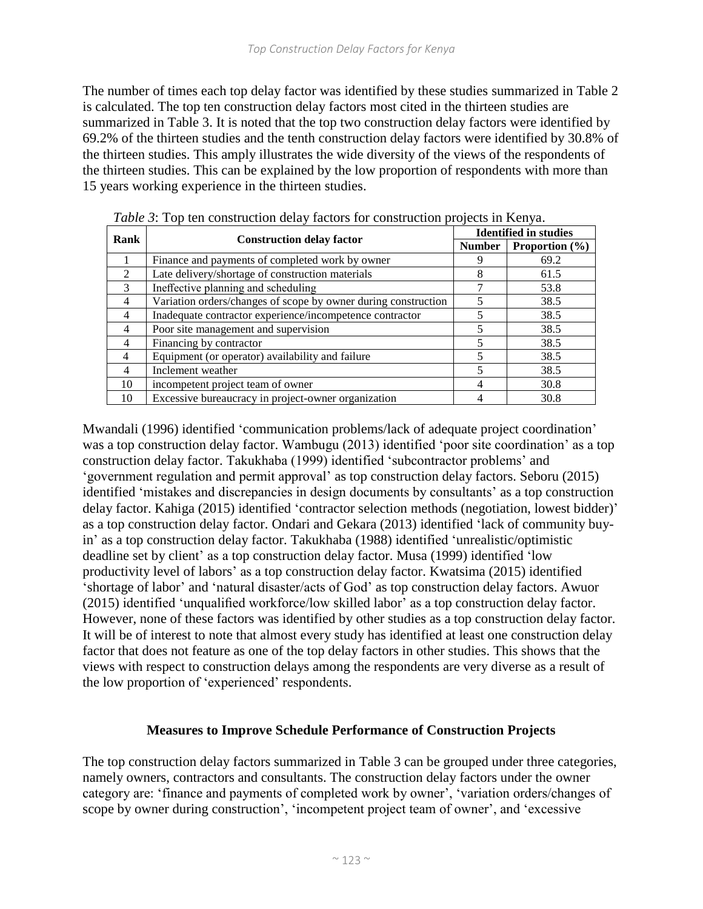The number of times each top delay factor was identified by these studies summarized in Table 2 is calculated. The top ten construction delay factors most cited in the thirteen studies are summarized in Table 3. It is noted that the top two construction delay factors were identified by 69.2% of the thirteen studies and the tenth construction delay factors were identified by 30.8% of the thirteen studies. This amply illustrates the wide diversity of the views of the respondents of the thirteen studies. This can be explained by the low proportion of respondents with more than 15 years working experience in the thirteen studies.

| Rank                        |                                                                | <b>Identified in studies</b> |                    |  |  |  |  |
|-----------------------------|----------------------------------------------------------------|------------------------------|--------------------|--|--|--|--|
|                             | <b>Construction delay factor</b>                               | <b>Number</b>                | Proportion $(\% )$ |  |  |  |  |
|                             | Finance and payments of completed work by owner                |                              | 69.2               |  |  |  |  |
| $\mathcal{D}_{\mathcal{L}}$ | Late delivery/shortage of construction materials               | 8                            | 61.5               |  |  |  |  |
| $\mathcal{F}$               | Ineffective planning and scheduling                            |                              | 53.8               |  |  |  |  |
| $\overline{4}$              | Variation orders/changes of scope by owner during construction |                              | 38.5               |  |  |  |  |
| 4                           | Inadequate contractor experience/incompetence contractor       |                              | 38.5               |  |  |  |  |
| 4                           | Poor site management and supervision                           |                              | 38.5               |  |  |  |  |
| 4                           | Financing by contractor                                        |                              | 38.5               |  |  |  |  |
| 4                           | Equipment (or operator) availability and failure               |                              | 38.5               |  |  |  |  |
| 4                           | Inclement weather                                              |                              | 38.5               |  |  |  |  |
| 10                          | incompetent project team of owner                              |                              | 30.8               |  |  |  |  |
| 10                          | Excessive bureaucracy in project-owner organization            |                              | 30.8               |  |  |  |  |

*Table 3*: Top ten construction delay factors for construction projects in Kenya.

Mwandali (1996) identified 'communication problems/lack of adequate project coordination' was a top construction delay factor. Wambugu (2013) identified 'poor site coordination' as a top construction delay factor. Takukhaba (1999) identified 'subcontractor problems' and 'government regulation and permit approval' as top construction delay factors. Seboru (2015) identified 'mistakes and discrepancies in design documents by consultants' as a top construction delay factor. Kahiga (2015) identified 'contractor selection methods (negotiation, lowest bidder)' as a top construction delay factor. Ondari and Gekara (2013) identified 'lack of community buyin' as a top construction delay factor. Takukhaba (1988) identified 'unrealistic/optimistic deadline set by client' as a top construction delay factor. Musa (1999) identified 'low productivity level of labors' as a top construction delay factor. Kwatsima (2015) identified 'shortage of labor' and 'natural disaster/acts of God' as top construction delay factors. Awuor (2015) identified 'unqualified workforce/low skilled labor' as a top construction delay factor. However, none of these factors was identified by other studies as a top construction delay factor. It will be of interest to note that almost every study has identified at least one construction delay factor that does not feature as one of the top delay factors in other studies. This shows that the views with respect to construction delays among the respondents are very diverse as a result of the low proportion of 'experienced' respondents.

## **Measures to Improve Schedule Performance of Construction Projects**

The top construction delay factors summarized in Table 3 can be grouped under three categories, namely owners, contractors and consultants. The construction delay factors under the owner category are: 'finance and payments of completed work by owner', 'variation orders/changes of scope by owner during construction', 'incompetent project team of owner', and 'excessive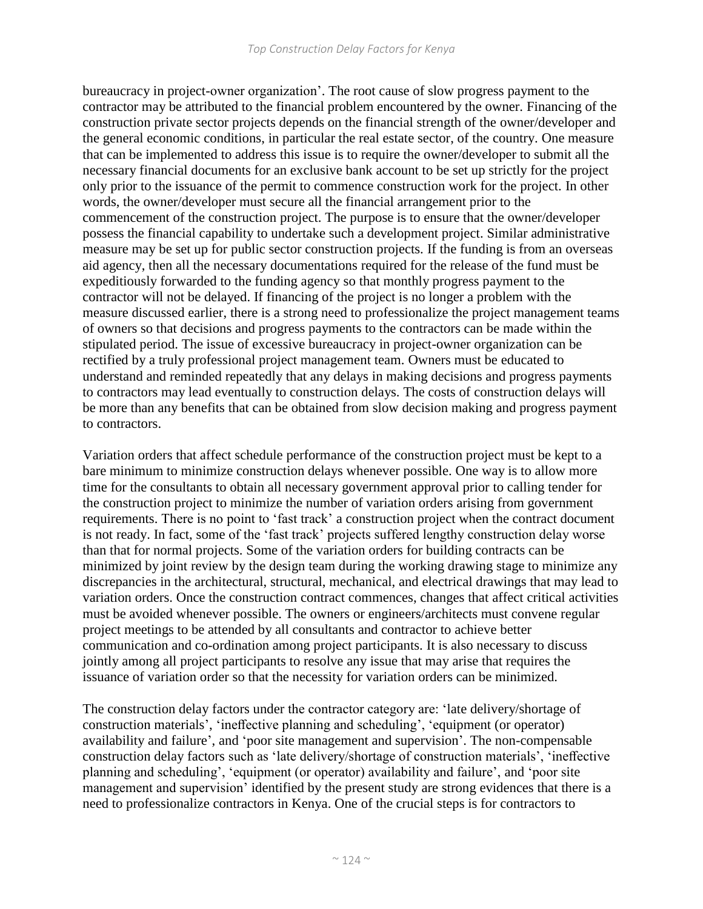bureaucracy in project-owner organization'. The root cause of slow progress payment to the contractor may be attributed to the financial problem encountered by the owner. Financing of the construction private sector projects depends on the financial strength of the owner/developer and the general economic conditions, in particular the real estate sector, of the country. One measure that can be implemented to address this issue is to require the owner/developer to submit all the necessary financial documents for an exclusive bank account to be set up strictly for the project only prior to the issuance of the permit to commence construction work for the project. In other words, the owner/developer must secure all the financial arrangement prior to the commencement of the construction project. The purpose is to ensure that the owner/developer possess the financial capability to undertake such a development project. Similar administrative measure may be set up for public sector construction projects. If the funding is from an overseas aid agency, then all the necessary documentations required for the release of the fund must be expeditiously forwarded to the funding agency so that monthly progress payment to the contractor will not be delayed. If financing of the project is no longer a problem with the measure discussed earlier, there is a strong need to professionalize the project management teams of owners so that decisions and progress payments to the contractors can be made within the stipulated period. The issue of excessive bureaucracy in project-owner organization can be rectified by a truly professional project management team. Owners must be educated to understand and reminded repeatedly that any delays in making decisions and progress payments to contractors may lead eventually to construction delays. The costs of construction delays will be more than any benefits that can be obtained from slow decision making and progress payment to contractors.

Variation orders that affect schedule performance of the construction project must be kept to a bare minimum to minimize construction delays whenever possible. One way is to allow more time for the consultants to obtain all necessary government approval prior to calling tender for the construction project to minimize the number of variation orders arising from government requirements. There is no point to 'fast track' a construction project when the contract document is not ready. In fact, some of the 'fast track' projects suffered lengthy construction delay worse than that for normal projects. Some of the variation orders for building contracts can be minimized by joint review by the design team during the working drawing stage to minimize any discrepancies in the architectural, structural, mechanical, and electrical drawings that may lead to variation orders. Once the construction contract commences, changes that affect critical activities must be avoided whenever possible. The owners or engineers/architects must convene regular project meetings to be attended by all consultants and contractor to achieve better communication and co-ordination among project participants. It is also necessary to discuss jointly among all project participants to resolve any issue that may arise that requires the issuance of variation order so that the necessity for variation orders can be minimized.

The construction delay factors under the contractor category are: 'late delivery/shortage of construction materials', 'ineffective planning and scheduling', 'equipment (or operator) availability and failure', and 'poor site management and supervision'. The non-compensable construction delay factors such as 'late delivery/shortage of construction materials', 'ineffective planning and scheduling', 'equipment (or operator) availability and failure', and 'poor site management and supervision' identified by the present study are strong evidences that there is a need to professionalize contractors in Kenya. One of the crucial steps is for contractors to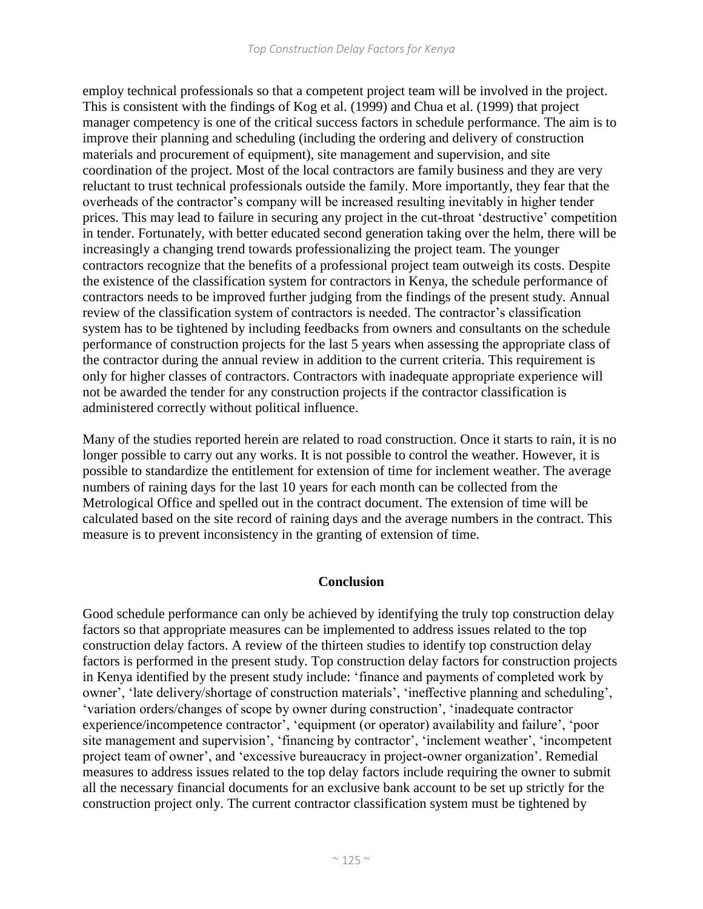employ technical professionals so that a competent project team will be involved in the project. This is consistent with the findings of Kog et al. (1999) and Chua et al. (1999) that project manager competency is one of the critical success factors in schedule performance. The aim is to improve their planning and scheduling (including the ordering and delivery of construction materials and procurement of equipment), site management and supervision, and site coordination of the project. Most of the local contractors are family business and they are very reluctant to trust technical professionals outside the family. More importantly, they fear that the overheads of the contractor's company will be increased resulting inevitably in higher tender prices. This may lead to failure in securing any project in the cut-throat 'destructive' competition in tender. Fortunately, with better educated second generation taking over the helm, there will be increasingly a changing trend towards professionalizing the project team. The younger contractors recognize that the benefits of a professional project team outweigh its costs. Despite the existence of the classification system for contractors in Kenya, the schedule performance of contractors needs to be improved further judging from the findings of the present study. Annual review of the classification system of contractors is needed. The contractor's classification system has to be tightened by including feedbacks from owners and consultants on the schedule performance of construction projects for the last 5 years when assessing the appropriate class of the contractor during the annual review in addition to the current criteria. This requirement is only for higher classes of contractors. Contractors with inadequate appropriate experience will not be awarded the tender for any construction projects if the contractor classification is administered correctly without political influence.

Many of the studies reported herein are related to road construction. Once it starts to rain, it is no longer possible to carry out any works. It is not possible to control the weather. However, it is possible to standardize the entitlement for extension of time for inclement weather. The average numbers of raining days for the last 10 years for each month can be collected from the Metrological Office and spelled out in the contract document. The extension of time will be calculated based on the site record of raining days and the average numbers in the contract. This measure is to prevent inconsistency in the granting of extension of time.

## **Conclusion**

Good schedule performance can only be achieved by identifying the truly top construction delay factors so that appropriate measures can be implemented to address issues related to the top construction delay factors. A review of the thirteen studies to identify top construction delay factors is performed in the present study. Top construction delay factors for construction projects in Kenya identified by the present study include: 'finance and payments of completed work by owner', 'late delivery/shortage of construction materials', 'ineffective planning and scheduling', 'variation orders/changes of scope by owner during construction', 'inadequate contractor experience/incompetence contractor', 'equipment (or operator) availability and failure', 'poor site management and supervision', 'financing by contractor', 'inclement weather', 'incompetent project team of owner', and 'excessive bureaucracy in project-owner organization'. Remedial measures to address issues related to the top delay factors include requiring the owner to submit all the necessary financial documents for an exclusive bank account to be set up strictly for the construction project only. The current contractor classification system must be tightened by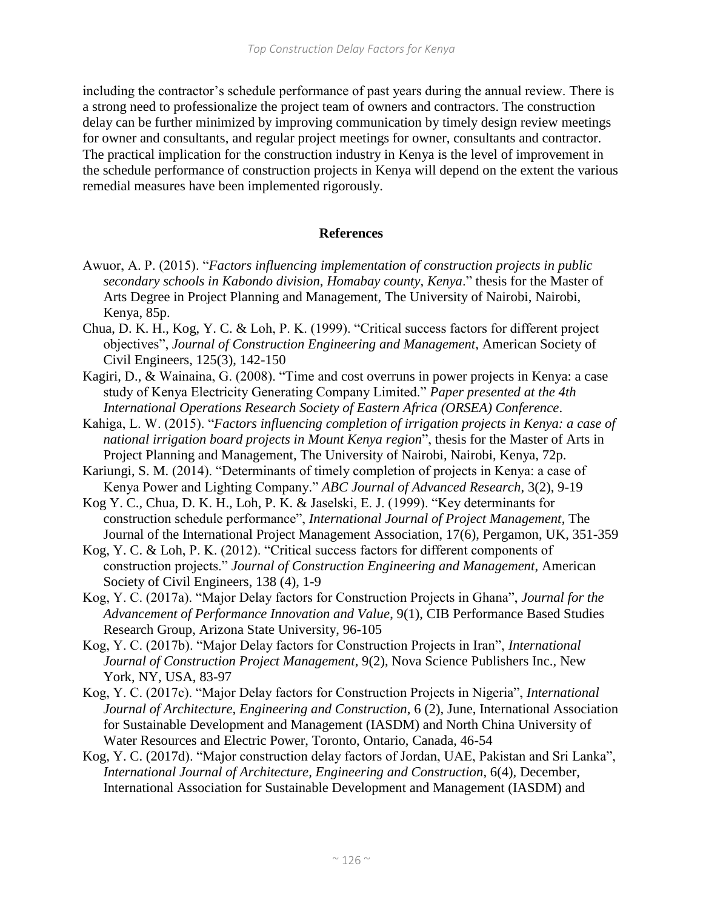including the contractor's schedule performance of past years during the annual review. There is a strong need to professionalize the project team of owners and contractors. The construction delay can be further minimized by improving communication by timely design review meetings for owner and consultants, and regular project meetings for owner, consultants and contractor. The practical implication for the construction industry in Kenya is the level of improvement in the schedule performance of construction projects in Kenya will depend on the extent the various remedial measures have been implemented rigorously.

#### **References**

- Awuor, A. P. (2015). "*Factors influencing implementation of construction projects in public secondary schools in Kabondo division, Homabay county, Kenya*." thesis for the Master of Arts Degree in Project Planning and Management, The University of Nairobi, Nairobi, Kenya, 85p.
- Chua, D. K. H., Kog, Y. C. & Loh, P. K. (1999). "Critical success factors for different project objectives", *Journal of Construction Engineering and Management*, American Society of Civil Engineers, 125(3), 142-150
- Kagiri, D., & Wainaina, G. (2008). "Time and cost overruns in power projects in Kenya: a case study of Kenya Electricity Generating Company Limited." *Paper presented at the 4th International Operations Research Society of Eastern Africa (ORSEA) Conference*.
- Kahiga, L. W. (2015). "*Factors influencing completion of irrigation projects in Kenya: a case of national irrigation board projects in Mount Kenya region*", thesis for the Master of Arts in Project Planning and Management, The University of Nairobi, Nairobi, Kenya, 72p.
- Kariungi, S. M. (2014). "Determinants of timely completion of projects in Kenya: a case of Kenya Power and Lighting Company." *ABC Journal of Advanced Research*, 3(2), 9-19
- Kog Y. C., Chua, D. K. H., Loh, P. K. & Jaselski, E. J. (1999). "Key determinants for construction schedule performance", *International Journal of Project Management*, The Journal of the International Project Management Association, 17(6), Pergamon, UK, 351-359
- Kog, Y. C. & Loh, P. K. (2012). "Critical success factors for different components of construction projects." *Journal of Construction Engineering and Management*, American Society of Civil Engineers, 138 (4), 1-9
- Kog, Y. C. (2017a). "Major Delay factors for Construction Projects in Ghana", *Journal for the Advancement of Performance Innovation and Value*, 9(1), CIB Performance Based Studies Research Group, Arizona State University, 96-105
- Kog, Y. C. (2017b). "Major Delay factors for Construction Projects in Iran", *International Journal of Construction Project Management*, 9(2), Nova Science Publishers Inc., New York, NY, USA, 83-97
- Kog, Y. C. (2017c). "Major Delay factors for Construction Projects in Nigeria", *International Journal of Architecture, Engineering and Construction*, 6 (2), June, International Association for Sustainable Development and Management (IASDM) and North China University of Water Resources and Electric Power, Toronto, Ontario, Canada, 46-54
- Kog, Y. C. (2017d). "Major construction delay factors of Jordan, UAE, Pakistan and Sri Lanka", *International Journal of Architecture, Engineering and Construction*, 6(4), December, International Association for Sustainable Development and Management (IASDM) and